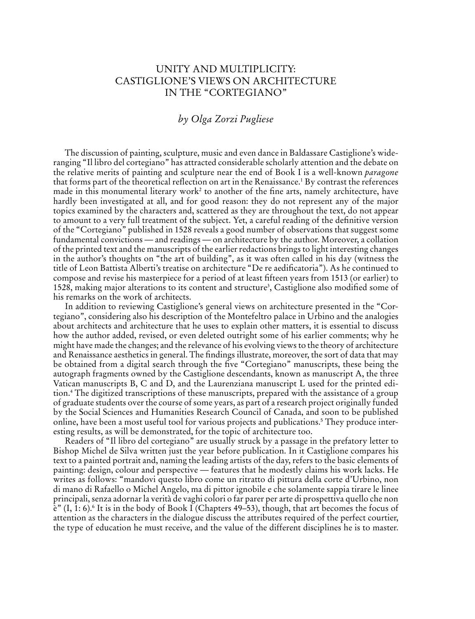## Unity and Multiplicity: Castiglione's Views on Architecture in the "Cortegiano"

## *by Olga Zorzi Pugliese*

The discussion of painting, sculpture, music and even dance in Baldassare Castiglione's wideranging "Il libro del cortegiano" has attracted considerable scholarly attention and the debate on the relative merits of painting and sculpture near the end of Book I is a well-known *paragone* that forms part of the theoretical reflection on art in the Renaissance.1 By contrast the references made in this monumental literary work<sup>2</sup> to another of the fine arts, namely architecture, have hardly been investigated at all, and for good reason: they do not represent any of the major topics examined by the characters and, scattered as they are throughout the text, do not appear to amount to a very full treatment of the subject. Yet, a careful reading of the definitive version of the "Cortegiano" published in 1528 reveals a good number of observations that suggest some fundamental convictions — and readings — on architecture by the author. Moreover, a collation of the printed text and the manuscripts of the earlier redactions brings to light interesting changes in the author's thoughts on "the art of building", as it was often called in his day (witness the title of Leon Battista Alberti's treatise on architecture "De re aedificatoria"). As he continued to compose and revise his masterpiece for a period of at least fifteen years from 1513 (or earlier) to 1528, making major alterations to its content and structure<sup>3</sup>, Castiglione also modified some of his remarks on the work of architects.

In addition to reviewing Castiglione's general views on architecture presented in the "Cortegiano", considering also his description of the Montefeltro palace in Urbino and the analogies about architects and architecture that he uses to explain other matters, it is essential to discuss how the author added, revised, or even deleted outright some of his earlier comments; why he might have made the changes; and the relevance of his evolving views to the theory of architecture and Renaissance aesthetics in general. The findings illustrate, moreover, the sort of data that may be obtained from a digital search through the five "Cortegiano" manuscripts, these being the autograph fragments owned by the Castiglione descendants, known as manuscript A, the three Vatican manuscripts B, C and D, and the Laurenziana manuscript L used for the printed edition.4 The digitized transcriptions of these manuscripts, prepared with the assistance of a group of graduate students over the course of some years, as part of a research project originally funded by the Social Sciences and Humanities Research Council of Canada, and soon to be published online, have been a most useful tool for various projects and publications.5 They produce interesting results, as will be demonstrated, for the topic of architecture too.

Readers of "Il libro del cortegiano" are usually struck by a passage in the prefatory letter to Bishop Michel de Silva written just the year before publication. In it Castiglione compares his text to a painted portrait and, naming the leading artists of the day, refers to the basic elements of painting: design, colour and perspective — features that he modestly claims his work lacks. He writes as follows: "mandovi questo libro come un ritratto di pittura della corte d'Urbino, non di mano di Rafaello o Michel Angelo, ma di pittor ignobile e che solamente sappia tirare le linee principali, senza adornar la verità de vaghi colori o far parer per arte di prospettiva quello che non  $\tilde{e}$ " (I, 1: 6).<sup>6</sup> It is in the body of Book I (Chapters 49–53), though, that art becomes the focus of attention as the characters in the dialogue discuss the attributes required of the perfect courtier, the type of education he must receive, and the value of the different disciplines he is to master.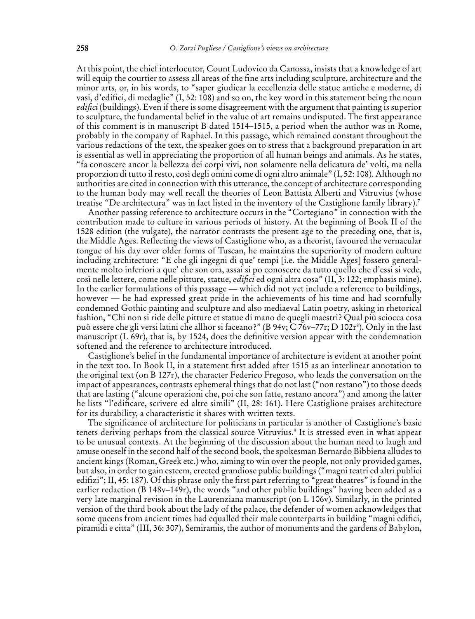At this point, the chief interlocutor, Count Ludovico da Canossa, insists that a knowledge of art will equip the courtier to assess all areas of the fine arts including sculpture, architecture and the minor arts, or, in his words, to "saper giudicar la eccellenzia delle statue antiche e moderne, di vasi, d'edifici, di medaglie" (I, 52: 108) and so on, the key word in this statement being the noun *edifici* (buildings). Even if there is some disagreement with the argument that painting is superior to sculpture, the fundamental belief in the value of art remains undisputed. The first appearance of this comment is in manuscript B dated 1514–1515, a period when the author was in Rome, probably in the company of Raphael. In this passage, which remained constant throughout the various redactions of the text, the speaker goes on to stress that a background preparation in art is essential as well in appreciating the proportion of all human beings and animals. As he states, "fa conoscere ancor la bellezza dei corpi vivi, non solamente nella delicatura de' volti, ma nella proporzion di tutto il resto, così degli omini come di ogni altro animale" (I, 52: 108). Although no authorities are cited in connection with this utterance, the concept of architecture corresponding to the human body may well recall the theories of Leon Battista Alberti and Vitruvius (whose treatise "De architectura" was in fact listed in the inventory of the Castiglione family library).7

Another passing reference to architecture occurs in the "Cortegiano" in connection with the contribution made to culture in various periods of history. At the beginning of Book II of the 1528 edition (the vulgate), the narrator contrasts the present age to the preceding one, that is, the Middle Ages. Reflecting the views of Castiglione who, as a theorist, favoured the vernacular tongue of his day over older forms of Tuscan, he maintains the superiority of modern culture including architecture: "E che gli ingegni di que' tempi [i.e. the Middle Ages] fossero generalmente molto inferiori a que' che son ora, assai si po conoscere da tutto quello che d'essi si vede, così nelle lettere, come nelle pitture, statue, *edifici* ed ogni altra cosa" (II, 3: 122; emphasis mine). In the earlier formulations of this passage — which did not yet include a reference to buildings, however — he had expressed great pride in the achievements of his time and had scornfully condemned Gothic painting and sculpture and also mediaeval Latin poetry, asking in rhetorical fashion, "Chi non si ride delle pitture et statue di mano de quegli maestri? Qual più sciocca cosa può essere che gli versi latini che allhor si faceano?" (B 94v; C 76v–77r; D 102r§). Only in the last manuscript (L 69r), that is, by 1524, does the definitive version appear with the condemnation softened and the reference to architecture introduced.

Castiglione's belief in the fundamental importance of architecture is evident at another point in the text too. In Book II, in a statement first added after 1515 as an interlinear annotation to the original text (on B 127r), the character Federico Fregoso, who leads the conversation on the impact of appearances, contrasts ephemeral things that do not last ("non restano") to those deeds that are lasting ("alcune operazioni che, poi che son fatte, restano ancora") and among the latter he lists "l'edificare, scrivere ed altre simili" (II, 28: 161). Here Castiglione praises architecture for its durability, a characteristic it shares with written texts.

The significance of architecture for politicians in particular is another of Castiglione's basic tenets deriving perhaps from the classical source Vitruvius.9 It is stressed even in what appear to be unusual contexts. At the beginning of the discussion about the human need to laugh and amuse oneself in the second half of the second book, the spokesman Bernardo Bibbiena alludesto ancient kings (Roman, Greek etc.) who, aiming to win over the people, not only provided games, but also, in order to gain esteem, erected grandiose public buildings ("magni teatri ed altri publici edifizi"; II, 45: 187). Of this phrase only the first part referring to "great theatres" is found in the earlier redaction (B 148v–149r), the words "and other public buildings" having been added as a very late marginal revision in the Laurenziana manuscript (on L 106v). Similarly, in the printed version of the third book about the lady of the palace, the defender of women acknowledges that some queens from ancient times had equalled their male counterparts in building "magni edifici, piramidi e citta" (III, 36: 307), Semiramis, the author of monuments and the gardens of Babylon,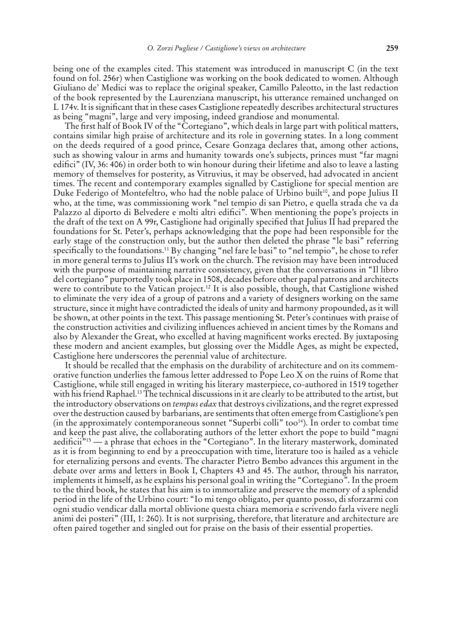being one of the examples cited. This statement was introduced in manuscript C (in the text found on fol. 256r) when Castiglione was working on the book dedicated to women. Although Giuliano de' Medici was to replace the original speaker, Camillo Paleotto, in the last redaction of the book represented by the Laurenziana manuscript, his utterance remained unchanged on L 174v. It is significant that in these cases Castiglione repeatedly describes architectural structures as being "magni", large and very imposing, indeed grandiose and monumental.

The first half of Book IV of the "Cortegiano", which deals in large part with political matters, contains similar high praise of architecture and its role in governing states. In a long comment on the deeds required of a good prince, Cesare Gonzaga declares that, among other actions, such as showing valour in arms and humanity towards one's subjects, princes must "far magni edifici" (IV, 36: 406) in order both to win honour during their lifetime and also to leave a lasting memory of themselves for posterity, as Vitruvius, it may be observed, had advocated in ancient times. The recent and contemporary examples signalled by Castiglione for special mention are Duke Federigo of Montefeltro, who had the noble palace of Urbino built<sup>10</sup>, and pope Julius II who, at the time, was commissioning work "nel tempio di san Pietro, e quella strada che va da Palazzo al diporto di Belvedere e molti altri edifici". When mentioning the pope's projects in the draft of the text on A 99r, Castiglione had originally specified that Julius II had prepared the foundations for St. Peter's, perhaps acknowledging that the pope had been responsible for the early stage of the construction only, but the author then deleted the phrase "le basi" referring specifically to the foundations.11 By changing "nel fare le basi" to "nel tempio", he chose to refer in more general terms to Julius II's work on the church. The revision may have been introduced with the purpose of maintaining narrative consistency, given that the conversations in "Il libro del cortegiano" purportedly took place in 1508, decades before other papal patrons and architects were to contribute to the Vatican project.<sup>12</sup> It is also possible, though, that Castiglione wished to eliminate the very idea of a group of patrons and a variety of designers working on the same structure, since it might have contradicted the ideals of unity and harmony propounded, as it will be shown, at other points in the text. This passage mentioning St. Peter's continues with praise of the construction activities and civilizing influences achieved in ancient times by the Romans and also by Alexander the Great, who excelled at having magnificent works erected. By juxtaposing these modern and ancient examples, but glossing over the Middle Ages, as might be expected, Castiglione here underscores the perennial value of architecture.

It should be recalled that the emphasis on the durability of architecture and on its commemorative function underlies the famous letter addressed to Pope Leo X on the ruins of Rome that Castiglione, while still engaged in writing his literary masterpiece, co-authored in 1519 together with his friend Raphael.13 The technical discussions in it are clearly to be attributed to the artist, but the introductory observations on *tempus edax* that destroys civilizations, and the regret expressed over the destruction caused by barbarians, are sentiments that often emerge from Castiglione's pen (in the approximately contemporaneous sonnet "Superbi colli" too<sup>14</sup>). In order to combat time and keep the past alive, the collaborating authors of the letter exhort the pope to build "magni aedificii<sup>"15</sup> — a phrase that echoes in the "Cortegiano". In the literary masterwork, dominated as it is from beginning to end by a preoccupation with time, literature too is hailed as a vehicle for eternalizing persons and events. The character Pietro Bembo advances this argument in the debate over arms and letters in Book I, Chapters 43 and 45. The author, through his narrator, implements it himself, as he explains his personal goal in writing the "Cortegiano". In the proem to the third book, he states that his aim is to immortalize and preserve the memory of a splendid period in the life of the Urbino court: "Io mi tengo obligato, per quanto posso, di sforzarmi con ogni studio vendicar dalla mortal oblivione questa chiara memoria e scrivendo farla vivere negli animi dei posteri" (III, 1: 260). It is not surprising, therefore, that literature and architecture are often paired together and singled out for praise on the basis of their essential properties.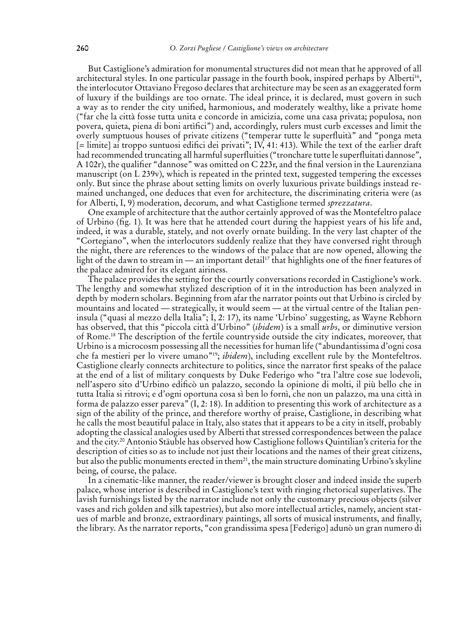But Castiglione's admiration for monumental structures did not mean that he approved of all architectural styles. In one particular passage in the fourth book, inspired perhaps by Alberti<sup>16</sup>, the interlocutor Ottaviano Fregoso declares that architecture may be seen as an exaggerated form of luxury if the buildings are too ornate. The ideal prince, it is declared, must govern in such a way as to render the city unified, harmonious, and moderately wealthy, like a private home ("far che la città fosse tutta unita e concorde in amicizia, come una casa privata; populosa, non povera, quieta, piena di boni artìfici") and, accordingly, rulers must curb excesses and limit the overly sumptuous houses of private citizens ("temperar tutte le superfluità" and "ponga meta [= limite] ai troppo suntuosi edifici dei privati"; IV, 41: 413). While the text of the earlier draft had recommended truncating all harmful superfluities ("tronchare tutte le superfluitati dannose", A 102r), the qualifier "dannose" was omitted on C 223r, and the final version in the Laurenziana manuscript (on L 239v), which is repeated in the printed text, suggested tempering the excesses only. But since the phrase about setting limits on overly luxurious private buildings instead remained unchanged, one deduces that even for architecture, the discriminating criteria were (as for Alberti, I, 9) moderation, decorum, and what Castiglione termed *sprezzatura*.

One example of architecture that the author certainly approved of was the Montefeltro palace of Urbino (fig. 1). It was here that he attended court during the happiest years of his life and, indeed, it was a durable, stately, and not overly ornate building. In the very last chapter of the "Cortegiano", when the interlocutors suddenly realize that they have conversed right through the night, there are references to the windows of the palace that are now opened, allowing the light of the dawn to stream in — an important detail<sup>17</sup> that highlights one of the finer features of the palace admired for its elegant airiness.

The palace provides the setting for the courtly conversations recorded in Castiglione's work. The lengthy and somewhat stylized description of it in the introduction has been analyzed in depth by modern scholars. Beginning from afar the narrator points out that Urbino is circled by mountains and located — strategically, it would seem — at the virtual centre of the Italian peninsula ("quasi al mezzo della Italia"; I, 2: 17), its name 'Urbino' suggesting, as Wayne Rebhorn has observed, that this "piccola città d'Urbino" (*ibidem*) is a small *urbs*, or diminutive version of Rome.18 The description of the fertile countryside outside the city indicates, moreover, that Urbino is a microcosm possessing all the necessities for human life ("abundantissima d'ogni cosa che fa mestieri per lo vivere umano"19; *ibidem*), including excellent rule by the Montefeltros. Castiglione clearly connects architecture to politics, since the narrator first speaks of the palace at the end of a list of military conquests by Duke Federigo who "tra l'altre cose sue lodevoli, nell'aspero sito d'Urbino edificò un palazzo, secondo la opinione di molti, il più bello che in tutta Italia si ritrovi; e d'ogni oportuna cosa sì ben lo fornì, che non un palazzo, ma una città in forma de palazzo esser pareva"  $(I, 2: 18)$ . In addition to presenting this work of architecture as a sign of the ability of the prince, and therefore worthy of praise, Castiglione, in describing what he calls the most beautiful palace in Italy, also states that it appears to be a city in itself, probably adopting the classical analogies used by Alberti that stressed correspondences between the palace and the city.20 Antonio Stäuble has observed how Castiglione follows Quintilian's criteria for the description of cities so as to include not just their locations and the names of their great citizens, but also the public monuments erected in them<sup>21</sup>, the main structure dominating Urbino's skyline being, of course, the palace.

In a cinematic-like manner, the reader/viewer is brought closer and indeed inside the superb palace, whose interior is described in Castiglione's text with ringing rhetorical superlatives. The lavish furnishings listed by the narrator include not only the customary precious objects (silver vases and rich golden and silk tapestries), but also more intellectual articles, namely, ancient statues of marble and bronze, extraordinary paintings, all sorts of musical instruments, and finally, the library. As the narrator reports, "con grandissima spesa [Federigo] adunò un gran numero di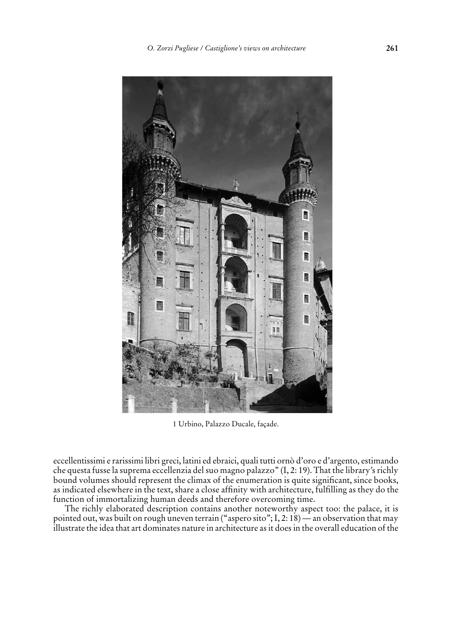

1 Urbino, Palazzo Ducale, façade.

eccellentissimi e rarissimi libri greci, latini ed ebraici, quali tutti ornò d'oro e d'argento, estimando che questa fusse la suprema eccellenzia del suo magno palazzo" (I, 2: 19). That the library's richly bound volumes should represent the climax of the enumeration is quite significant, since books, as indicated elsewhere in the text, share a close affinity with architecture, fulfilling as they do the function of immortalizing human deeds and therefore overcoming time.

The richly elaborated description contains another noteworthy aspect too: the palace, it is pointed out, was built on rough uneven terrain ("aspero sito"; I, 2: 18) — an observation that may illustrate the idea that art dominates nature in architecture as it does in the overall education of the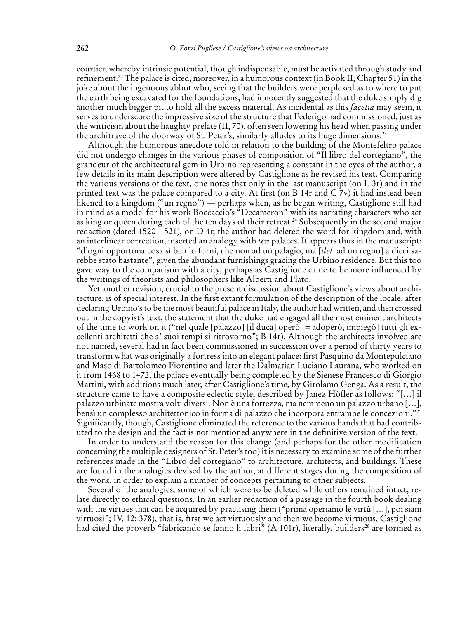courtier, whereby intrinsic potential, though indispensable, must be activated through study and refinement.22 The palace is cited, moreover, in a humorous context (in Book II, Chapter 51) in the joke about the ingenuous abbot who, seeing that the builders were perplexed as to where to put the earth being excavated for the foundations, had innocently suggested that the duke simply dig another much bigger pit to hold all the excess material. As incidental as this *facetia* may seem, it serves to underscore the impressive size of the structure that Federigo had commissioned, just as the witticism about the haughty prelate (II, 70), often seen lowering his head when passing under the architrave of the doorway of St. Peter's, similarly alludes to its huge dimensions.23

Although the humorous anecdote told in relation to the building of the Montefeltro palace did not undergo changes in the various phases of composition of "Il libro del cortegiano", the grandeur of the architectural gem in Urbino representing a constant in the eyes of the author, a few details in its main description were altered by Castiglione as he revised his text. Comparing the various versions of the text, one notes that only in the last manuscript (on L 3r) and in the printed text was the palace compared to a city. At first (on B 14r and  $C$  7v) it had instead been likened to a kingdom ("un regno") — perhaps when, as he began writing, Castiglione still had in mind as a model for his work Boccaccio's "Decameron" with its narrating characters who act as king or queen during each of the ten days of their retreat.<sup>24</sup> Subsequently in the second major redaction (dated 1520–1521), on D 4r, the author had deleted the word for kingdom and, with an interlinear correction, inserted an analogy with *ten* palaces. It appears thus in the manuscript: "d'ogni opportuna cosa sì ben lo fornì, che non ad un palagio, ma [*del.* ad un regno] a dieci sarebbe stato bastante", given the abundant furnishings gracing the Urbino residence. But this too gave way to the comparison with a city, perhaps as Castiglione came to be more influenced by the writings of theorists and philosophers like Alberti and Plato.

Yet another revision, crucial to the present discussion about Castiglione's views about architecture, is of special interest. In the first extant formulation of the description of the locale, after declaring Urbino's to be the most beautiful palace in Italy, the author had written, and then crossed out in the copyist's text, the statement that the duke had engaged all the most eminent architects of the time to work on it ("nel quale [palazzo] [il duca] operò [= adoperò, impiegò] tutti gli excellenti architetti che a' suoi tempi si ritrovorno"; B 14r). Although the architects involved are not named, several had in fact been commissioned in succession over a period of thirty years to transform what was originally a fortress into an elegant palace: first Pasquino da Montepulciano and Maso di Bartolomeo fiorentino and later the Dalmatian Luciano Laurana, who worked on it from 1468 to 1472, the palace eventually being completed by the Sienese Francesco di Giorgio Martini, with additions much later, after Castiglione's time, by Girolamo Genga. As a result, the structure came to have a composite eclectic style, described by Janez Höfler as follows: "[…] il palazzo urbinate mostra volti diversi. Non è una fortezza, ma nemmeno un palazzo urbano […], bensì un complesso architettonico in forma di palazzo che incorpora entrambe le concezioni."<sup>25</sup> Significantly, though, Castiglione eliminated the reference to the various hands that had contributed to the design and the fact is not mentioned anywhere in the definitive version of the text.

In order to understand the reason for this change (and perhaps for the other modification concerning the multiple designers of St. Peter's too) it is necessary to examine some of the further references made in the "Libro del cortegiano" to architecture, architects, and buildings. These are found in the analogies devised by the author, at different stages during the composition of the work, in order to explain a number of concepts pertaining to other subjects.

Several of the analogies, some of which were to be deleted while others remained intact, relate directly to ethical questions. In an earlier redaction of a passage in the fourth book dealing with the virtues that can be acquired by practising them ("prima operiamo le virtù […], poi siam virtuosi"; IV, 12: 378), that is, first we act virtuously and then we become virtuous, Castiglione had cited the proverb "fabricando se fanno li fabri" (A 101r), literally, builders<sup>26</sup> are formed as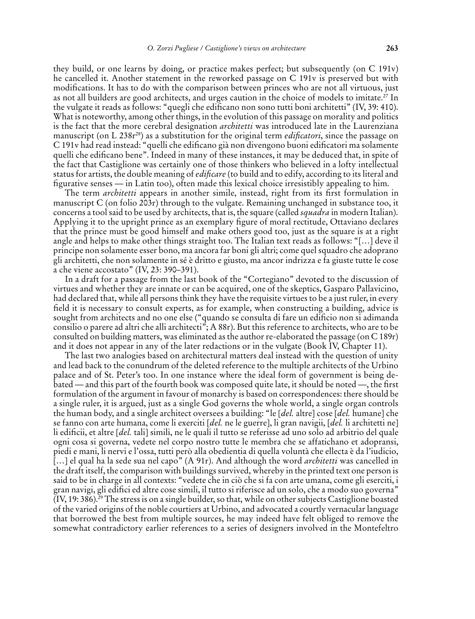they build, or one learns by doing, or practice makes perfect; but subsequently (on C 191v) he cancelled it. Another statement in the reworked passage on C 191v is preserved but with modifications. It has to do with the comparison between princes who are not all virtuous, just as not all builders are good architects, and urges caution in the choice of models to imitate.27 In the vulgate it reads as follows: "quegli che edificano non sono tutti boni architetti" (IV, 39: 410). What is noteworthy, among other things, in the evolution of this passage on morality and politics is the fact that the more cerebral designation *architetti* was introduced late in the Laurenziana manuscript (on L 238r<sup>28</sup>) as a substitution for the original term *edificatori*, since the passage on C 191v had read instead: "quelli che edificano già non divengono buoni edificatori ma solamente quelli che edificano bene". Indeed in many of these instances, it may be deduced that, in spite of the fact that Castiglione was certainly one of those thinkers who believed in a lofty intellectual status for artists, the double meaning of *edificare* (to build and to edify, according to its literal and figurative senses — in Latin too), often made this lexical choice irresistibly appealing to him.

The term *architetti* appears in another simile, instead, right from its first formulation in manuscript C (on folio 203r) through to the vulgate. Remaining unchanged in substance too, it concerns a tool said to be used by architects, that is, the square (called *squadra* in modern Italian). Applying it to the upright prince as an exemplary figure of moral rectitude, Ottaviano declares that the prince must be good himself and make others good too, just as the square is at a right angle and helps to make other things straight too. The Italian text reads as follows: "[…] deve il principe non solamente esser bono, ma ancora far boni gli altri; come quel squadro che adoprano gli architetti, che non solamente in sé è dritto e giusto, ma ancor indrizza e fa giuste tutte le cose a che viene accostato" (IV, 23: 390–391).

In a draft for a passage from the last book of the "Cortegiano" devoted to the discussion of virtues and whether they are innate or can be acquired, one of the skeptics, Gasparo Pallavicino, had declared that, while all persons think they have the requisite virtues to be a just ruler, in every field it is necessary to consult experts, as for example, when constructing a building, advice is sought from architects and no one else ("quando se consulta di fare un edificio non si adimanda consilio o parere ad altri che alli architecti"; A 88r). But this reference to architects, who are to be consulted on building matters, was eliminated as the author re-elaborated the passage (on C 189r) and it does not appear in any of the later redactions or in the vulgate (Book IV, Chapter 11).

The last two analogies based on architectural matters deal instead with the question of unity and lead back to the conundrum of the deleted reference to the multiple architects of the Urbino palace and of St. Peter's too. In one instance where the ideal form of government is being debated — and this part of the fourth book was composed quite late, it should be noted —, the first formulation of the argument in favour of monarchy is based on correspondences: there should be a single ruler, it is argued, just as a single God governs the whole world, a single organ controls the human body, and a single architect oversees a building: "le [*del.* altre] cose [*del.* humane] che se fanno con arte humana, come li exerciti [*del.* ne le guerre], li gran navigii, [*del.* li architetti ne] li edificii, et altre [*del.* tali] simili, ne le quali il tutto se referisse ad uno solo ad arbitrio del quale ogni cosa si governa, vedete nel corpo nostro tutte le membra che se affatichano et adopransi, piedi e mani, li nervi e l'ossa, tutti però alla obedientia di quella voluntà che ellecta è da l'iudicio, […] el qual ha la sede sua nel capo" (A 91r). And although the word *architetti* was cancelled in the draft itself, the comparison with buildings survived, whereby in the printed text one person is said to be in charge in all contexts: "vedete che in ciò che si fa con arte umana, come gli eserciti, i gran navigi, gli edifici ed altre cose simili, il tutto si riferisce ad un solo, che a modo suo governa" (IV, 19: 386).29 The stress is on a single builder, so that, while on other subjects Castiglione boasted of the varied origins of the noble courtiers at Urbino, and advocated a courtly vernacular language that borrowed the best from multiple sources, he may indeed have felt obliged to remove the somewhat contradictory earlier references to a series of designers involved in the Montefeltro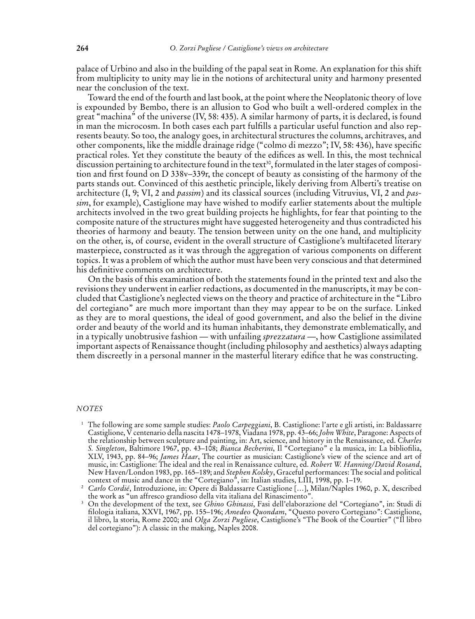palace of Urbino and also in the building of the papal seat in Rome. An explanation for this shift from multiplicity to unity may lie in the notions of architectural unity and harmony presented near the conclusion of the text.

Toward the end of the fourth and last book, at the point where the Neoplatonic theory of love is expounded by Bembo, there is an allusion to God who built a well-ordered complex in the great "machina" of the universe (IV, 58: 435). A similar harmony of parts, it is declared, is found in man the microcosm. In both cases each part fulfills a particular useful function and also represents beauty. So too, the analogy goes, in architectural structures the columns, architraves, and other components, like the middle drainage ridge ("colmo di mezzo"; IV, 58: 436), have specific practical roles. Yet they constitute the beauty of the edifices as well. In this, the most technical discussion pertaining to architecture found in the text<sup>30</sup>, formulated in the later stages of composition and first found on D 338v–339r, the concept of beauty as consisting of the harmony of the parts stands out. Convinced of this aesthetic principle, likely deriving from Alberti's treatise on architecture (I, 9; VI, 2 and *passim*) and its classical sources (including Vitruvius, VI, 2 and *passim*, for example), Castiglione may have wished to modify earlier statements about the multiple architects involved in the two great building projects he highlights, for fear that pointing to the composite nature of the structures might have suggested heterogeneity and thus contradicted his theories of harmony and beauty. The tension between unity on the one hand, and multiplicity on the other, is, of course, evident in the overall structure of Castiglione's multifaceted literary masterpiece, constructed as it was through the aggregation of various components on different topics. It was a problem of which the author must have been very conscious and that determined his definitive comments on architecture.

On the basis of this examination of both the statements found in the printed text and also the revisions they underwent in earlier redactions, as documented in the manuscripts, it may be concluded that Castiglione's neglected views on the theory and practice of architecture in the "Libro del cortegiano" are much more important than they may appear to be on the surface. Linked as they are to moral questions, the ideal of good government, and also the belief in the divine order and beauty of the world and its human inhabitants, they demonstrate emblematically, and in a typically unobtrusive fashion — with unfailing *sprezzatura* —, how Castiglione assimilated important aspects of Renaissance thought (including philosophy and aesthetics) always adapting them discreetly in a personal manner in the masterful literary edifice that he was constructing.

## *Notes*

1 The following are some sample studies: *Paolo Carpeggiani*, B. Castiglione: l'arte e gli artisti, in: Baldassarre Castiglione, V centenario della nascita 1478–1978, Viadana 1978, pp. 43–66; *John White*, Paragone: Aspects of the relationship between sculpture and painting, in: Art, science, and history in the Renaissance, ed. *Charles S. Singleton*, Baltimore 1967, pp. 43–108; *Bianca Becherini*, Il "Cortegiano" e la musica, in: La bibliofilia, XLV, 1943, pp. 84–96; *James Haar*, The courtier as musician: Castiglione's view of the science and art of music, in: Castiglione: The ideal and the real in Renaissance culture, ed. *Robert W. Hanning/David Rosand*, New Haven/London 1983, pp. 165–189; and *Stephen Kolsky*, Graceful performances: The social and political context of music and dance in the "Cortegiano", in: Italian studies, LIII, 1998, pp. 1–19.

<sup>2</sup> *Carlo Cordié*, Introduzione, in: Opere di Baldassarre Castiglione […], Milan/Naples 1960, p. X, described the work as "un affresco grandioso della vita italiana del Rinascimento".

<sup>3</sup> On the development of the text, see *Ghino Ghinassi*, Fasi dell'elaborazione del "Cortegiano", in: Studi di filologia italiana, XXVI, 1967, pp. 155–196; *Amedeo Quondam*, "Questo povero Cortegiano": Castiglione, il libro, la storia, Rome 2000; and *Olga Zorzi Pugliese*, Castiglione's "The Book of the Courtier" ("Il libro del cortegiano"): A classic in the making, Naples 2008.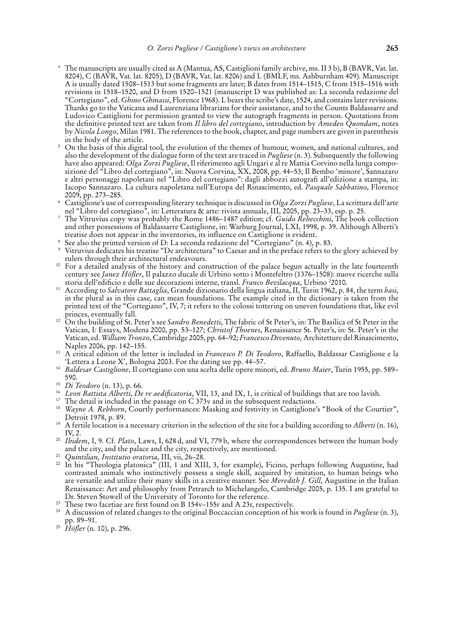- 4 The manuscripts are usually cited as A (Mantua, AS, Castiglioni family archive, ms. II 3 b), B (BAVR, Vat. lat. 8204), C (BAVR, Vat. lat. 8205), D (BAVR, Vat. lat. 8206) and L (BMLF, ms. Ashburnham 409). Manuscript A is usually dated 1508–1513 but some fragments are later; B dates from 1514–1515, C from 1515–1516 with revisions in 1518–1520, and D from 1520–1521 (manuscript D was published as: La seconda redazione del "Cortegiano", ed. *Ghino Ghinassi*, Florence 1968). L bears the scribe's date, 1524, and contains later revisions. Thanks go to the Vaticana and Laurenziana librarians for their assistance, and to the Counts Baldassarre and Ludovico Castiglioni for permission granted to view the autograph fragments in person. Quotations from the definitive printed text are taken from *Il libro del cortegiano*, introduction by *Amedeo Quondam*, notes by *Nicola Longo*, Milan 1981. The references to the book, chapter, and page numbers are given in parenthesis in the body of the article.
- 5 On the basis of this digital tool, the evolution of the themes of humour, women, and national cultures, and also the development of the dialogue form of the text are traced in *Pugliese* (n. 3). Subsequently the following have also appeared: *Olga Zorzi Pugliese*, Il riferimento agli Ungari e al re Mattia Corvino nella lunga composizione del "Libro del cortegiano", in: Nuova Corvina, XX, 2008, pp. 44–53; Il Bembo 'minore', Sannazaro e altri personaggi napoletani nel "Libro del cortegiano": dagli abbozzi autografi all'edizione a stampa, in: Iacopo Sannazaro. La cultura napoletana nell'Europa del Rinascimento, ed. *Pasquale Sabbatino*, Florence 2009, pp. 273–285.
- 6 Castiglione's use of corresponding literary technique is discussed in *Olga Zorzi Pugliese*, La scrittura dell'arte nel "Libro del cortegiano", in: Letteratura & arte: rivista annuale, III, 2005, pp. 23–33, esp. p. 25. 7
- The Vitruvius copy was probably the Rome 1486–1487 edition; cf. *Guido Rebecchini*, The book collection and other possessions of Baldassarre Castiglione, in: Warburg Journal, LXI, 1998, p. 39. Although Alberti's treatise does not appear in the inventories, its influence on Castiglione is evident. 8
- See also the printed version of D: La seconda redazione del "Cortegiano" (n. 4), p. 83.
- <sup>9</sup> Vitruvius dedicates his treatise "De architectura" to Caesar and in the preface refers to the glory achieved by rulers through their architectural endeavours.
- <sup>10</sup> For a detailed analysis of the history and construction of the palace begun actually in the late fourteenth century see *Janez Höfler*, Il palazzo ducale di Urbino sotto i Montefeltro (1376–1508): nuove ricerche sulla storia dell'edificio e delle sue decorazioni interne, transl. *Franco Bevilacqua*, Urbino 2 2010.
- 11 According to *Salvatore Battaglia*, Grande dizionario della lingua italiana, II, Turin 1962, p. 84, the term *basi*, in the plural as in this case, can mean foundations. The example cited in the dictionary is taken from the printed text of the "Cortegiano", IV, 7; it refers to the colossi tottering on uneven foundations that, like evil princes, eventually fall.
- 12 On the building of St. Peter's see *Sandro Benedetti*, The fabric of St Peter's, in: The Basilica of St Peter in the Vatican, I: Essays, Modena 2000, pp. 53–127; *Christof Thoenes*, Renaissance St. Peter's, in: St. Peter's in the Vatican, ed. *William Tronzo*, Cambridge 2005, pp. 64–92; *Francesco Divenuto,* Architetture del Rinascimento, Naples 2006, pp. 142–155.
- 13 A critical edition of the letter is included in *Francesco P. Di Teodoro*, Raffaello, Baldassar Castiglione e la 'Lettera a Leone X', Bologna 2003. For the dating see pp. 44–57.
- <sup>14</sup> *Baldesar Castiglione*, Il cortegiano con una scelta delle opere minori, ed. *Bruno Maier*, Turin 1955, pp. 589– 590.
- <sup>15</sup> *Di Teodoro* (n. 13), p. 66.
- <sup>16</sup> *Leon Battista Alberti*, *De re aedificatoria*, VII, 13, and IX, 1, is critical of buildings that are too lavish.<br><sup>17</sup> The detail is included in the passage on C 373y and in the subsequent redactions.
- 
- 17 The detail is included in the passage on C 373v and in the subsequent redactions. 18 *Wayne A. Rebhorn*, Courtly performances: Masking and festivity in Castiglione's "Book of the Courtier", Detroit 1978, p. 89.
- 19 A fertile location is a necessary criterion in the selection of the site for a building according to *Alberti* (n. 16), IV, 2.
- <sup>20</sup> *Ibidem*, I, 9. Cf. *Plato*, Laws, I, 628 d, and VI, 779 b, where the correspondences between the human body and the city, and the palace and the city, respectively, are mentioned.
- <sup>21</sup> *Quintilian, Institutio oratoria*, III, vii, 26–28.
- 22 In his "Theologia platonica" (III, 1 and XIII, 3, for example), Ficino, perhaps following Augustine, had contrasted animals who instinctively possess a single skill, acquired by imitation, to human beings who are versatile and utilize their many skills in a creative manner. See *Meredith J. Gill*, Augustine in the Italian Renaissance: Art and philosophy from Petrarch to Michelangelo, Cambridge 2005, p. 135. I am grateful to Dr. Steven Stowell of the University of Toronto for the reference.
- 
- 23 These two facetiae are first found on B 154v–155r and A 23r, respectively. 24 A discussion of related changes to the original Boccaccian conception of his work is found in *Pugliese* (n. 3), pp. 89–91.
- <sup>25</sup> *Höfler* (n. 10), p. 296.